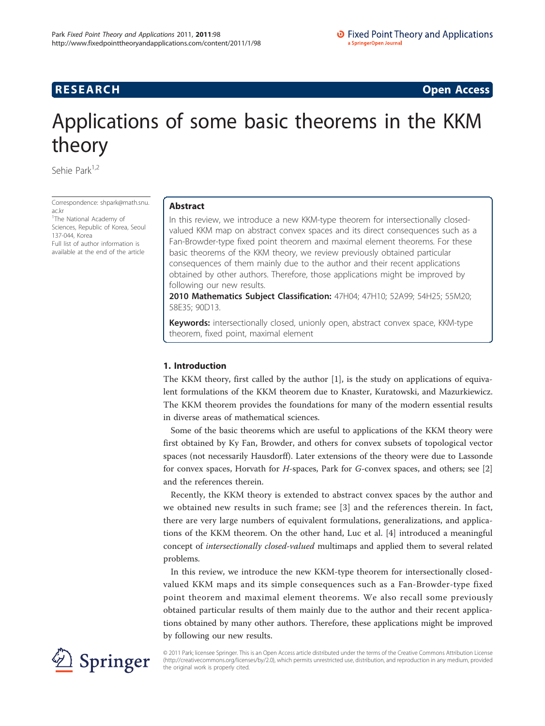**RESEARCH CONSTRUCTION CONSTRUCTS** 

# Applications of some basic theorems in the KKM theory

Sehie Park<sup>1,2</sup>

Correspondence: [shpark@math.snu.](mailto:shpark@math.snu.ac.kr) [ac.kr](mailto:shpark@math.snu.ac.kr)

<sup>1</sup>The National Academy of Sciences, Republic of Korea, Seoul 137-044, Korea Full list of author information is available at the end of the article

# Abstract

In this review, we introduce a new KKM-type theorem for intersectionally closedvalued KKM map on abstract convex spaces and its direct consequences such as a Fan-Browder-type fixed point theorem and maximal element theorems. For these basic theorems of the KKM theory, we review previously obtained particular consequences of them mainly due to the author and their recent applications obtained by other authors. Therefore, those applications might be improved by following our new results.

2010 Mathematics Subject Classification: 47H04; 47H10; 52A99; 54H25; 55M20; 58E35; 90D13.

Keywords: intersectionally closed, unionly open, abstract convex space, KKM-type theorem, fixed point, maximal element

# 1. Introduction

The KKM theory, first called by the author [\[1](#page-12-0)], is the study on applications of equivalent formulations of the KKM theorem due to Knaster, Kuratowski, and Mazurkiewicz. The KKM theorem provides the foundations for many of the modern essential results in diverse areas of mathematical sciences.

Some of the basic theorems which are useful to applications of the KKM theory were first obtained by Ky Fan, Browder, and others for convex subsets of topological vector spaces (not necessarily Hausdorff). Later extensions of the theory were due to Lassonde for convex spaces, Horvath for  $H$ -spaces, Park for  $G$ -convex spaces, and others; see [[2](#page-12-0)] and the references therein.

Recently, the KKM theory is extended to abstract convex spaces by the author and we obtained new results in such frame; see [[3\]](#page-12-0) and the references therein. In fact, there are very large numbers of equivalent formulations, generalizations, and applications of the KKM theorem. On the other hand, Luc et al. [[4\]](#page-12-0) introduced a meaningful concept of intersectionally closed-valued multimaps and applied them to several related problems.

In this review, we introduce the new KKM-type theorem for intersectionally closedvalued KKM maps and its simple consequences such as a Fan-Browder-type fixed point theorem and maximal element theorems. We also recall some previously obtained particular results of them mainly due to the author and their recent applications obtained by many other authors. Therefore, these applications might be improved by following our new results.



© 2011 Park; licensee Springer. This is an Open Access article distributed under the terms of the Creative Commons Attribution License [\(http://creativecommons.org/licenses/by/2.0](http://creativecommons.org/licenses/by/2.0)), which permits unrestricted use, distribution, and reproduction in any medium, provided the original work is properly cited.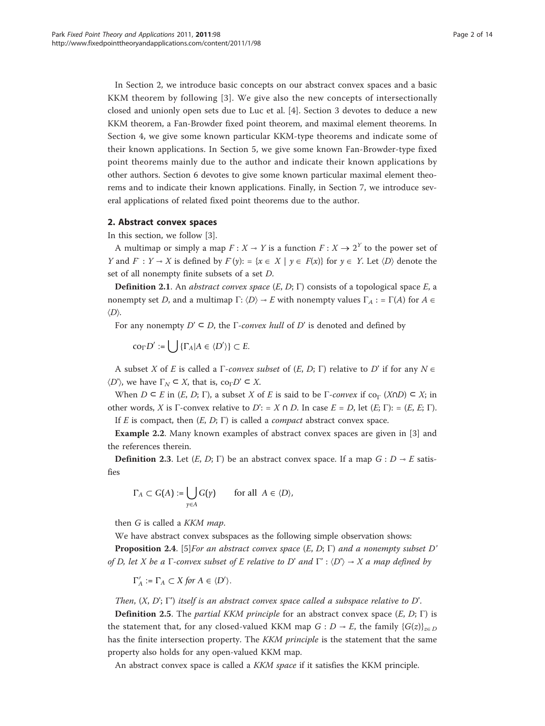In Section 2, we introduce basic concepts on our abstract convex spaces and a basic KKM theorem by following [[3](#page-12-0)]. We give also the new concepts of intersectionally closed and unionly open sets due to Luc et al. [\[4](#page-12-0)]. Section 3 devotes to deduce a new KKM theorem, a Fan-Browder fixed point theorem, and maximal element theorems. In Section 4, we give some known particular KKM-type theorems and indicate some of their known applications. In Section 5, we give some known Fan-Browder-type fixed point theorems mainly due to the author and indicate their known applications by other authors. Section 6 devotes to give some known particular maximal element theorems and to indicate their known applications. Finally, in Section 7, we introduce several applications of related fixed point theorems due to the author.

## 2. Abstract convex spaces

In this section, we follow [\[3](#page-12-0)].

A multimap or simply a map  $F: X \to Y$  is a function  $F: X \to 2^Y$  to the power set of *Y* and *F* : *Y* ⊸ *X* is defined by  $F(y)$ : = { $x \in X | y \in F(x)$ } for  $y \in Y$ . Let  $\langle D \rangle$  denote the set of all nonempty finite subsets of a set D.

**Definition 2.1**. An abstract convex space  $(E, D; \Gamma)$  consists of a topological space  $E$ , a nonempty set D, and a multimap  $\Gamma: \langle D \rangle \to E$  with nonempty values  $\Gamma_A := \Gamma(A)$  for  $A \in$  $\langle D \rangle$ .

For any nonempty  $D' \subseteq D$ , the Γ-convex hull of D' is denoted and defined by

 $\text{co}_{\Gamma} D' := \bigcup \{ \Gamma_A | A \in \langle D' \rangle \} \subset E.$ 

A subset X of E is called a  $\Gamma$ -convex subset of  $(E, D; \Gamma)$  relative to D' if for any  $N \in$  $\langle D' \rangle$ , we have  $\Gamma_N \subset X$ , that is, co<sub>Γ</sub>D'  $\subset X$ .

When  $D \subseteq E$  in  $(E, D; \Gamma)$ , a subset X of E is said to be  $\Gamma$ -convex if co<sub> $\Gamma$ </sub> (X $\cap$ )  $\subseteq X$ ; in other words, X is Γ-convex relative to  $D'$ : = X  $\cap$  D. In case  $E = D$ , let  $(E; \Gamma)$ : =  $(E, E; \Gamma)$ . If E is compact, then  $(E, D; \Gamma)$  is called a *compact* abstract convex space.

Example 2.2. Many known examples of abstract convex spaces are given in [[3\]](#page-12-0) and the references therein.

**Definition 2.3.** Let  $(E, D; \Gamma)$  be an abstract convex space. If a map  $G: D \rightarrow E$  satisfies

$$
\Gamma_A \subset G(A) := \bigcup_{\gamma \in A} G(\gamma) \quad \text{for all } A \in \langle D \rangle,
$$

then G is called a KKM map.

We have abstract convex subspaces as the following simple observation shows:

**Proposition 2.4.** [\[5\]](#page-12-0)For an abstract convex space  $(E, D; \Gamma)$  and a nonempty subset D' of D, let X be a Γ-convex subset of E relative to D' and  $\Gamma$ ' :  $\langle D' \rangle \rightarrow X$  a map defined by

$$
\Gamma'_A := \Gamma_A \subset X \text{ for } A \in \langle D' \rangle.
$$

Then,  $(X, D'; \Gamma')$  itself is an abstract convex space called a subspace relative to D'.

**Definition 2.5.** The *partial KKM principle* for an abstract convex space  $(E, D; \Gamma)$  is the statement that, for any closed-valued KKM map  $G: D \rightarrow E$ , the family  $\{G(z)\}_{z \in D}$ has the finite intersection property. The KKM principle is the statement that the same property also holds for any open-valued KKM map.

An abstract convex space is called a *KKM space* if it satisfies the KKM principle.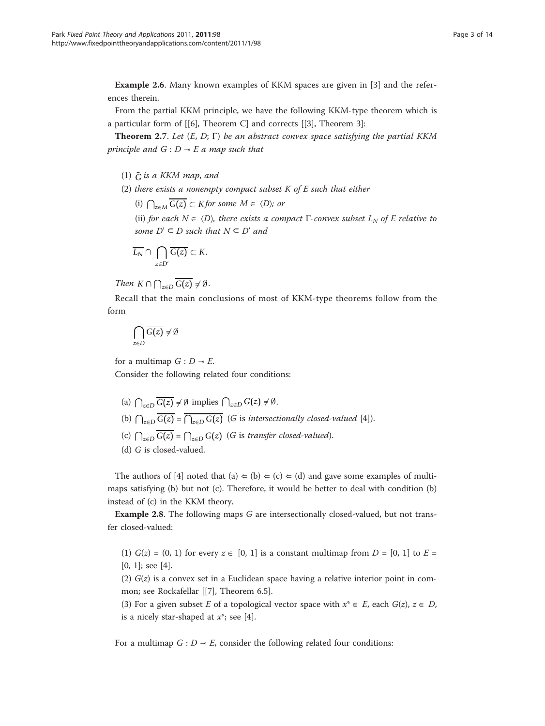Example 2.6. Many known examples of KKM spaces are given in [[3](#page-12-0)] and the references therein.

From the partial KKM principle, we have the following KKM-type theorem which is a particular form of [[\[6](#page-12-0)], Theorem C] and corrects [[\[3](#page-12-0)], Theorem 3]:

**Theorem 2.7.** Let  $(E, D; \Gamma)$  be an abstract convex space satisfying the partial KKM principle and  $G : D \rightarrow E$  a map such that

- $(1)$   $\overline{G}$  is a KKM map, and
- (2) there exists a nonempty compact subset  $K$  of  $E$  such that either

(i)  $\bigcap_{z \in M}$   $\overline{G(z)}$  ⊂ *K* for some  $M \in \langle D \rangle$ ; or

(ii) for each  $N \in \langle D \rangle$ , there exists a compact  $\Gamma$ -convex subset  $L_N$  of E relative to some  $D' \subseteq D$  such that  $N \subseteq D'$  and

$$
\overline{L_N} \cap \bigcap_{z \in D'} \overline{G(z)} \subset K.
$$

*Then*  $K \cap \bigcap_{z \in D} G(z) \neq \emptyset$ .

Recall that the main conclusions of most of KKM-type theorems follow from the form

$$
\bigcap_{z\in D}\overline{G(z)}\neq\emptyset
$$

for a multimap  $G : D \rightarrow E$ .

Consider the following related four conditions:

- (a)  $\bigcap_{z \in D}$  *G*(*z*) ≠ Ø implies  $\bigcap_{z \in D}$  *G*(*z*) ≠ Ø.
- (b)  $\bigcap_{z \in D} G(z) = \bigcap_{z \in D} G(z)$  (G is intersectionally closed-valued [[4\]](#page-12-0)).
- (c)  $\bigcap_{z \in D} G(z) = \bigcap_{z \in D} G(z)$  (*G* is transfer closed-valued).

The authors of [\[4\]](#page-12-0) noted that (a)  $\Leftarrow$  (b)  $\Leftarrow$  (c)  $\Leftarrow$  (d) and gave some examples of multimaps satisfying (b) but not (c). Therefore, it would be better to deal with condition (b) instead of (c) in the KKM theory.

Example 2.8. The following maps G are intersectionally closed-valued, but not transfer closed-valued:

(1)  $G(z) = (0, 1)$  for every  $z \in [0, 1]$  is a constant multimap from  $D = [0, 1]$  to  $E =$ [0, 1]; see [\[4](#page-12-0)].

(2)  $G(z)$  is a convex set in a Euclidean space having a relative interior point in common; see Rockafellar [[[7\]](#page-12-0), Theorem 6.5].

(3) For a given subset E of a topological vector space with  $x^* \in E$ , each  $G(z)$ ,  $z \in D$ , is a nicely star-shaped at  $x^*$ ; see [[4\]](#page-12-0).

For a multimap  $G: D \rightarrow E$ , consider the following related four conditions:

<sup>(</sup>d) G is closed-valued.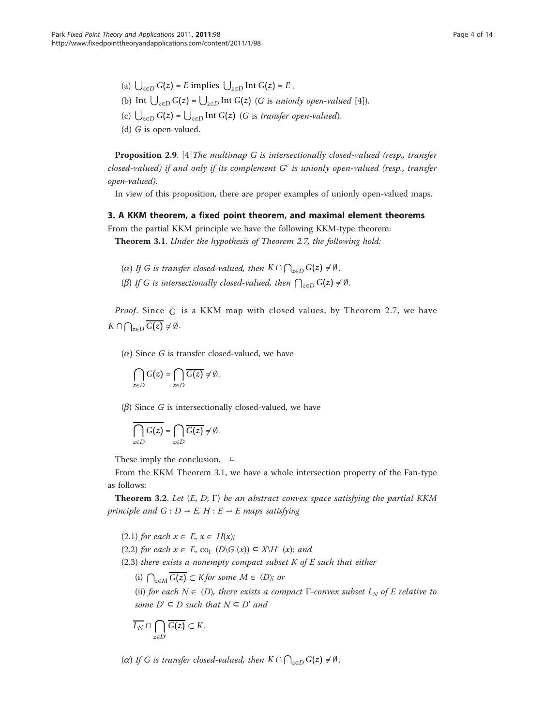(a)  $\bigcup_{z \in D} G(z) = E$  implies  $\bigcup_{z \in D} \text{Int } G(z) = E$ .

- (b) Int  $\bigcup_{z \in D} G(z) = \bigcup_{z \in D} \text{Int } G(z)$  (*G* is *unionly open-valued* [[4\]](#page-12-0)).
- (c)  $\bigcup_{z \in D} G(z) = \bigcup_{z \in D} \text{Int } G(z)$  (*G* is *transfer open-valued*).
- (d) G is open-valued.

Proposition 2.9. [\[4](#page-12-0)]The multimap G is intersectionally closed-valued (resp., transfer closed-valued) if and only if its complement  $G<sup>c</sup>$  is unionly open-valued (resp., transfer open-valued).

In view of this proposition, there are proper examples of unionly open-valued maps.

## 3. A KKM theorem, a fixed point theorem, and maximal element theorems

From the partial KKM principle we have the following KKM-type theorem:

Theorem 3.1. Under the hypothesis of Theorem 2.7, the following hold:

- (a) If G is transfer closed-valued, then  $K \cap \bigcap_{z \in D} G(z) \neq \emptyset$ .
- ( $\beta$ ) If *G* is intersectionally closed-valued, then  $\bigcap_{z \in D} G(z) \neq \emptyset$ .

*Proof.* Since  $\bar{G}$  is a KKM map with closed values, by Theorem 2.7, we have *K* ∩  $\bigcap_{z\in D} G(z) \neq \emptyset$ .

 $(\alpha)$  Since G is transfer closed-valued, we have

$$
\bigcap_{z\in D}G(z)=\bigcap_{z\in D}\overline{G(z)}\neq\emptyset.
$$

 $(\beta)$  Since G is intersectionally closed-valued, we have

$$
\bigcap_{z\in D}G(z)=\bigcap_{z\in D}\overline{G(z)}\neq\emptyset.
$$

These imply the conclusion.  $\Box$ 

From the KKM Theorem 3.1, we have a whole intersection property of the Fan-type as follows:

**Theorem 3.2.** Let  $(E, D; \Gamma)$  be an abstract convex space satisfying the partial KKM principle and  $G: D \to E$ ,  $H: E \to E$  maps satisfying

(2.1) for each  $x \in E$ ,  $x \in H(x)$ ;

(2.2) for each  $x \in E$ , co<sub>Γ</sub> (D\G<sup>-</sup>(x))  $\subset$  X\H (x); and

 $(2.3)$  there exists a nonempty compact subset K of E such that either

(i)  $\bigcap_{z \in M} G(z) \subset K$  *for some*  $M \in \langle D \rangle$ ; or

(ii) for each  $N \in \langle D \rangle$ , there exists a compact  $\Gamma$ -convex subset  $L_N$  of E relative to some  $D' \subseteq D$  such that  $N \subseteq D'$  and

$$
\overline{L_N} \cap \bigcap_{z \in D'} \overline{G(z)} \subset K.
$$

(a) If G is transfer closed-valued, then  $K \cap \bigcap_{z \in D} G(z) \neq \emptyset$ .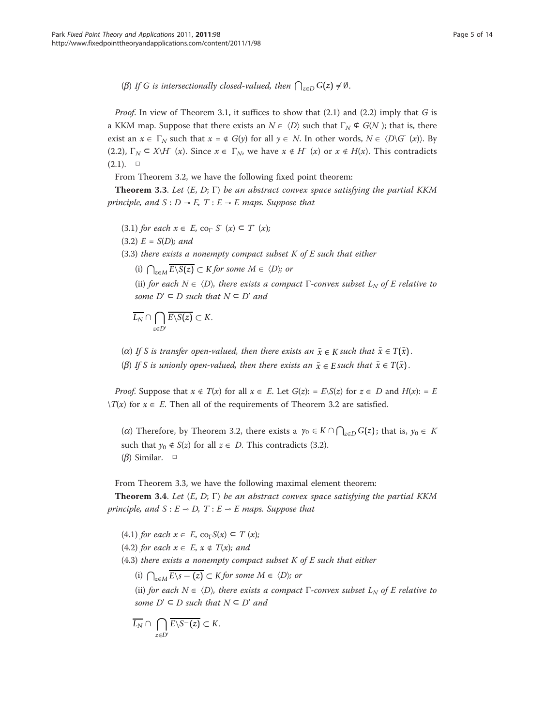( $\beta$ ) If G is intersectionally closed-valued, then  $\bigcap_{z \in D} G(z) \neq \emptyset$ .

*Proof.* In view of Theorem 3.1, it suffices to show that  $(2.1)$  and  $(2.2)$  imply that G is a KKM map. Suppose that there exists an  $N \in \langle D \rangle$  such that  $\Gamma_N \subset G(N)$ ; that is, there exist an  $x \in \Gamma_N$  such that  $x = \notin G(y)$  for all  $y \in N$ . In other words,  $N \in \langle D \setminus G^-(x) \rangle$ . By (2.2),  $\Gamma_N \subset X\backslash H^-(x)$ . Since  $x \in \Gamma_N$ , we have  $x \notin H^-(x)$  or  $x \notin H(x)$ . This contradicts  $(2.1).$  □

From Theorem 3.2, we have the following fixed point theorem:

**Theorem 3.3.** Let  $(E, D; \Gamma)$  be an abstract convex space satisfying the partial KKM principle, and  $S: D \rightarrow E$ ,  $T: E \rightarrow E$  maps. Suppose that

- (3.1) for each  $x \in E$ , co<sub>Γ</sub> S<sup>-</sup> (x)  $\subset T^{\text{}}(x)$ ;
- $(3.2) E = S(D)$ ; and

 $(3.3)$  there exists a nonempty compact subset K of E such that either

(i)  $\bigcap_{z \in M} \overline{E \setminus S(z)}$  ⊂ *K* for some  $M \in \langle D \rangle$ ; or

(ii) for each  $N \in \langle D \rangle$ , there exists a compact  $\Gamma$ -convex subset  $L_N$  of E relative to some  $D' \subseteq D$  such that  $N \subseteq D'$  and

$$
\overline{L_N} \cap \bigcap_{z \in D'} \overline{E \backslash S(z)} \subset K.
$$

( $\alpha$ ) If S is transfer open-valued, then there exists an  $\bar{x} \in K$  such that  $\bar{x} \in T(\bar{x})$ .

( $\beta$ ) If S is unionly open-valued, then there exists an  $\bar{x} \in E$  such that  $\bar{x} \in T(\bar{x})$ .

*Proof.* Suppose that  $x \notin T(x)$  for all  $x \in E$ . Let  $G(z) := E\setminus S(z)$  for  $z \in D$  and  $H(x) := E$  $\forall T(x)$  for  $x \in E$ . Then all of the requirements of Theorem 3.2 are satisfied.

( $\alpha$ ) Therefore, by Theorem 3.2, there exists a  $\gamma_0$  ∈  $K$  ∩  $\bigcap_{z\in D} G(z)$ ; that is,  $\gamma_0$  ∈  $K$ such that  $y_0 \notin S(z)$  for all  $z \in D$ . This contradicts (3.2). ( $\beta$ ) Similar. □

From Theorem 3.3, we have the following maximal element theorem:

**Theorem 3.4.** Let  $(E, D; \Gamma)$  be an abstract convex space satisfying the partial KKM principle, and  $S : E \to D$ ,  $T : E \to E$  maps. Suppose that

(4.1) for each  $x \in E$ , co<sub>Γ</sub>S(x)  $\subset T$  (x); (4.2) for each  $x \in E$ ,  $x \notin T(x)$ ; and  $(4.3)$  there exists a nonempty compact subset K of E such that either (i)  $\bigcap_{z \in M} \overline{E \setminus s - (z)} \subset K$  *for some*  $M \in \langle D \rangle$ ; or (ii) for each  $N \in \langle D \rangle$ , there exists a compact  $\Gamma$ -convex subset  $L_N$  of E relative to some  $D' \subseteq D$  such that  $N \subseteq D'$  and

$$
\overline{L_N} \cap \bigcap_{z \in D'} \overline{E \backslash S^-(z)} \subset K.
$$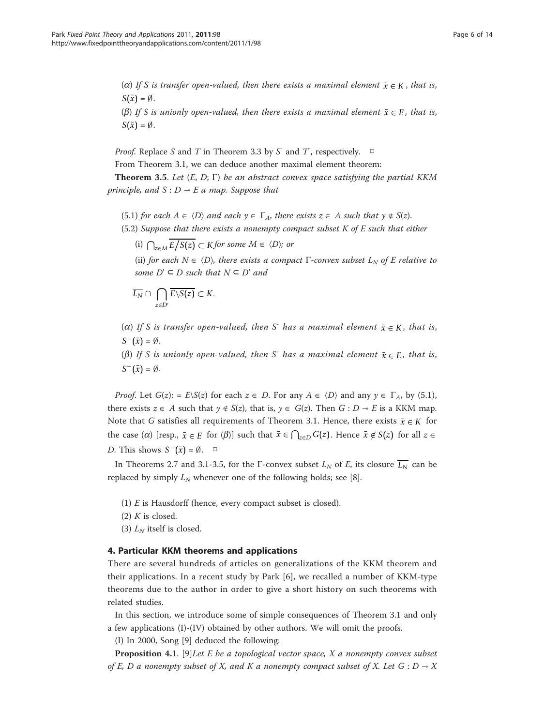- ( $\alpha$ ) If S is transfer open-valued, then there exists a maximal element  $\bar{x} \in K$ , that is,  $S(\bar{x}) = \emptyset$ .
- ( $\beta$ ) If S is unionly open-valued, then there exists a maximal element  $\bar{x} \in E$ , that is,  $S(\bar{x}) = \emptyset$ .

*Proof.* Replace S and T in Theorem 3.3 by S<sup>-</sup> and T<sup>-</sup>, respectively.  $\Box$ 

From Theorem 3.1, we can deduce another maximal element theorem:

**Theorem 3.5.** Let  $(E, D; \Gamma)$  be an abstract convex space satisfying the partial KKM principle, and  $S : D \rightarrow E$  a map. Suppose that

- (5.1) for each  $A \in \langle D \rangle$  and each  $y \in \Gamma_A$ , there exists  $z \in A$  such that  $y \notin S(z)$ .
- (5.2) Suppose that there exists a nonempty compact subset  $K$  of  $E$  such that either

(i)  $\bigcap_{z \in M} E / S(z) \subset K$  *for some*  $M \in \langle D \rangle$ ; or

(ii) for each  $N \in \langle D \rangle$ , there exists a compact  $\Gamma$ -convex subset  $L_N$  of E relative to some  $D' \subseteq D$  such that  $N \subseteq D'$  and

$$
\overline{L_N} \cap \bigcap_{z \in D'} \overline{E \backslash S(z)} \subset K.
$$

(a) If S is transfer open-valued, then S<sup>-</sup> has a maximal element  $\bar{x} \in K$ , that is,  $S^{-}(\bar{x}) = \emptyset$ .

( $\beta$ ) If S is unionly open-valued, then S<sup>-</sup> has a maximal element  $\bar{x} \in E$ , that is,  $S^{-}(\bar{x}) = \emptyset$ .

*Proof.* Let  $G(z)$ : =  $E\setminus S(z)$  for each  $z \in D$ . For any  $A \in \langle D \rangle$  and any  $y \in \Gamma_A$ , by (5.1), there exists  $z \in A$  such that  $y \notin S(z)$ , that is,  $y \in G(z)$ . Then  $G : D \to E$  is a KKM map. Note that G satisfies all requirements of Theorem 3.1. Hence, there exists  $\bar{x} \in K$  for the case ( $\alpha$ ) [resp.,  $\bar{x} \in E$  for ( $\beta$ )] such that  $\bar{x} \in \bigcap_{z \in D} G(z)$ . Hence  $\bar{x} \notin S(z)$  for all  $z \in E$ *D*. This shows  $S^{-}(\bar{x}) = \emptyset$ . □

In Theorems 2.7 and 3.1-3.5, for the  $\Gamma$ -convex subset  $L_N$  of E, its closure  $\overline{L_N}$  can be replaced by simply  $L_N$  whenever one of the following holds; see [[8\]](#page-12-0).

- (1)  $E$  is Hausdorff (hence, every compact subset is closed).
- $(2)$  K is closed.
- (3)  $L_N$  itself is closed.

#### 4. Particular KKM theorems and applications

There are several hundreds of articles on generalizations of the KKM theorem and their applications. In a recent study by Park [\[6](#page-12-0)], we recalled a number of KKM-type theorems due to the author in order to give a short history on such theorems with related studies.

In this section, we introduce some of simple consequences of Theorem 3.1 and only a few applications (I)-(IV) obtained by other authors. We will omit the proofs.

(I) In 2000, Song [[9\]](#page-12-0) deduced the following:

**Proposition 4.1**. [\[9](#page-12-0)]Let E be a topological vector space,  $X$  a nonempty convex subset of E, D a nonempty subset of X, and K a nonempty compact subset of X. Let  $G : D \rightarrow X$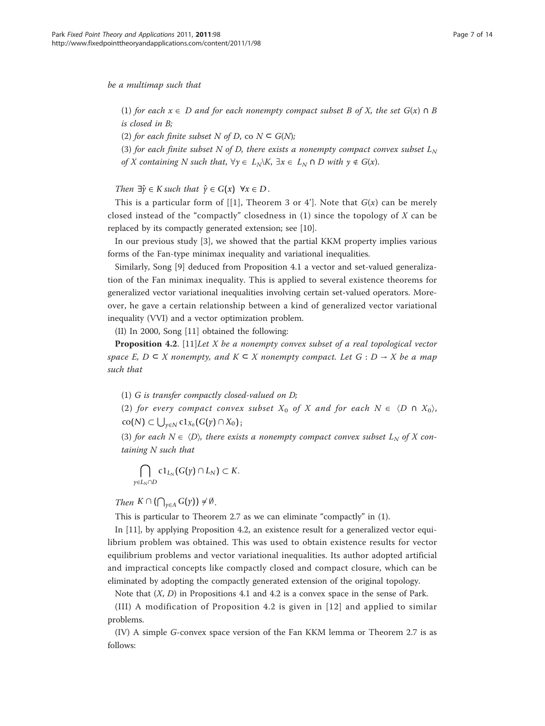(1) for each  $x \in D$  and for each nonempty compact subset B of X, the set  $G(x) \cap B$ is closed in B;

(2) for each finite subset N of D, co  $N \subseteq G(N)$ ;

(3) for each finite subset N of D, there exists a nonempty compact convex subset  $L_N$ of X containing N such that,  $\forall y \in L_N \setminus K$ ,  $\exists x \in L_N \cap D$  with  $y \notin G(x)$ .

Then  $\exists \hat{y} \in K$  such that  $\hat{y} \in G(x)$   $\forall x \in D$ .

This is a particular form of [[[1\]](#page-12-0), Theorem 3 or 4']. Note that  $G(x)$  can be merely closed instead of the "compactly" closedness in  $(1)$  since the topology of  $X$  can be replaced by its compactly generated extension; see [\[10\]](#page-12-0).

In our previous study [\[3](#page-12-0)], we showed that the partial KKM property implies various forms of the Fan-type minimax inequality and variational inequalities.

Similarly, Song [\[9](#page-12-0)] deduced from Proposition 4.1 a vector and set-valued generalization of the Fan minimax inequality. This is applied to several existence theorems for generalized vector variational inequalities involving certain set-valued operators. Moreover, he gave a certain relationship between a kind of generalized vector variational inequality (VVI) and a vector optimization problem.

(II) In 2000, Song [\[11\]](#page-12-0) obtained the following:

**Proposition 4.2.** [[11\]](#page-12-0) Let X be a nonempty convex subset of a real topological vector space E,  $D \subseteq X$  nonempty, and  $K \subseteq X$  nonempty compact. Let  $G : D \to X$  be a map such that

(1) G is transfer compactly closed-valued on D;

(2) for every compact convex subset  $X_0$  of X and for each  $N \in \langle D \cap X_0 \rangle$ ,  $\text{co}(N)$  ⊂  $\bigcup_{\gamma \in N}$  c1<sub>*X*0</sub></sub> (*G*( $\gamma$ ) ∩ *X*<sub>0</sub>);

(3) for each  $N \in \langle D \rangle$ , there exists a nonempty compact convex subset  $L_N$  of X containing N such that

$$
\bigcap_{\gamma\in L_N\cap D}\text{cl}_{L_N}(G(\gamma)\cap L_N)\subset K.
$$

*Then*  $K \cap (\bigcap_{\gamma \in A} G(\gamma)) \neq \emptyset$ .

This is particular to Theorem 2.7 as we can eliminate "compactly" in (1).

In [[11](#page-12-0)], by applying Proposition 4.2, an existence result for a generalized vector equilibrium problem was obtained. This was used to obtain existence results for vector equilibrium problems and vector variational inequalities. Its author adopted artificial and impractical concepts like compactly closed and compact closure, which can be eliminated by adopting the compactly generated extension of the original topology.

Note that  $(X, D)$  in Propositions 4.1 and 4.2 is a convex space in the sense of Park.

(III) A modification of Proposition 4.2 is given in [[12](#page-12-0)] and applied to similar problems.

(IV) A simple G-convex space version of the Fan KKM lemma or Theorem 2.7 is as follows: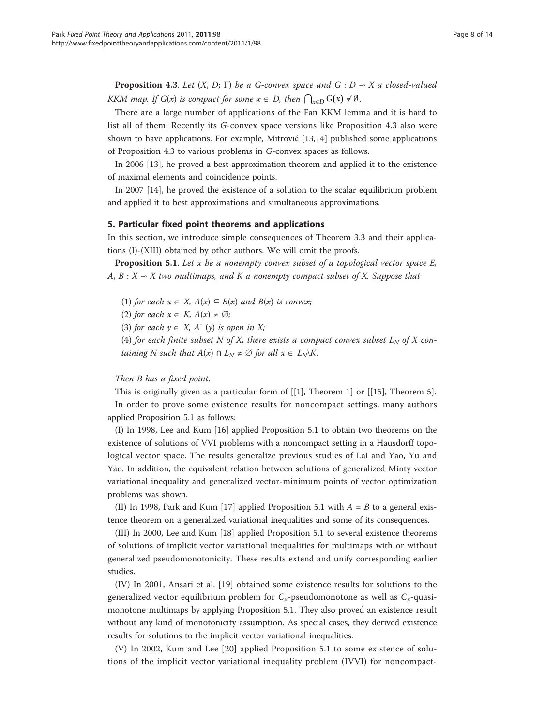**Proposition 4.3.** Let  $(X, D; \Gamma)$  be a G-convex space and G :  $D \rightarrow X$  a closed-valued KKM map. If  $G(x)$  is compact for some  $x \in D$ , then  $\bigcap_{x \in D} G(x) \neq \emptyset$ .

There are a large number of applications of the Fan KKM lemma and it is hard to list all of them. Recently its G-convex space versions like Proposition 4.3 also were shown to have applications. For example, Mitrović [\[13,14\]](#page-12-0) published some applications of Proposition 4.3 to various problems in G-convex spaces as follows.

In 2006 [\[13](#page-12-0)], he proved a best approximation theorem and applied it to the existence of maximal elements and coincidence points.

In 2007 [[14](#page-12-0)], he proved the existence of a solution to the scalar equilibrium problem and applied it to best approximations and simultaneous approximations.

#### 5. Particular fixed point theorems and applications

In this section, we introduce simple consequences of Theorem 3.3 and their applications (I)-(XIII) obtained by other authors. We will omit the proofs.

**Proposition 5.1.** Let x be a nonempty convex subset of a topological vector space  $E$ , A,  $B: X → X$  two multimaps, and K a nonempty compact subset of X. Suppose that

(1) for each  $x \in X$ ,  $A(x) \subseteq B(x)$  and  $B(x)$  is convex;

(2) for each  $x \in K$ ,  $A(x) \neq \emptyset$ ;

(3) for each  $y \in X$ , A<sup>-</sup> (y) is open in X;

(4) for each finite subset N of X, there exists a compact convex subset  $L_N$  of X containing N such that  $A(x) \cap L_N \neq \emptyset$  for all  $x \in L_N\backslash K$ .

#### Then B has a fixed point.

This is originally given as a particular form of  $[[1]$  $[[1]$ , Theorem 1] or  $[[15]$  $[[15]$ , Theorem 5]. In order to prove some existence results for noncompact settings, many authors applied Proposition 5.1 as follows:

(I) In 1998, Lee and Kum [\[16\]](#page-12-0) applied Proposition 5.1 to obtain two theorems on the existence of solutions of VVI problems with a noncompact setting in a Hausdorff topological vector space. The results generalize previous studies of Lai and Yao, Yu and Yao. In addition, the equivalent relation between solutions of generalized Minty vector variational inequality and generalized vector-minimum points of vector optimization problems was shown.

(II) In 1998, Park and Kum [\[17](#page-12-0)] applied Proposition 5.1 with  $A = B$  to a general existence theorem on a generalized variational inequalities and some of its consequences.

(III) In 2000, Lee and Kum [\[18](#page-12-0)] applied Proposition 5.1 to several existence theorems of solutions of implicit vector variational inequalities for multimaps with or without generalized pseudomonotonicity. These results extend and unify corresponding earlier studies.

(IV) In 2001, Ansari et al. [[19\]](#page-12-0) obtained some existence results for solutions to the generalized vector equilibrium problem for  $C_x$ -pseudomonotone as well as  $C_x$ -quasimonotone multimaps by applying Proposition 5.1. They also proved an existence result without any kind of monotonicity assumption. As special cases, they derived existence results for solutions to the implicit vector variational inequalities.

(V) In 2002, Kum and Lee [[20\]](#page-12-0) applied Proposition 5.1 to some existence of solutions of the implicit vector variational inequality problem (IVVI) for noncompact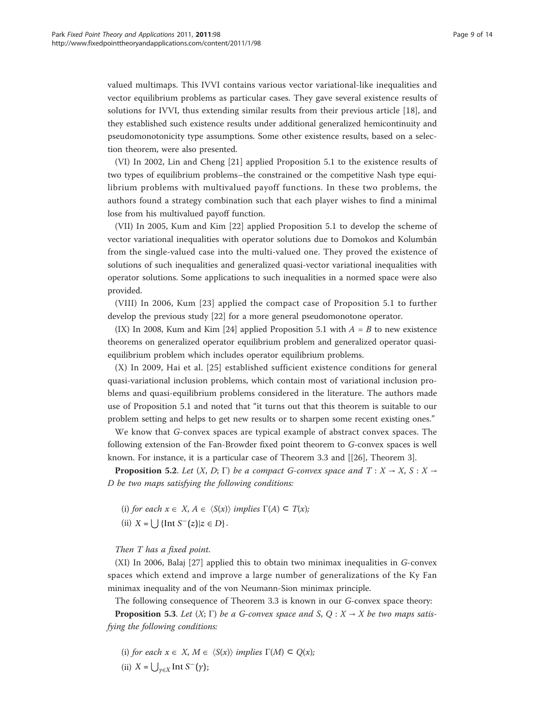valued multimaps. This IVVI contains various vector variational-like inequalities and vector equilibrium problems as particular cases. They gave several existence results of solutions for IVVI, thus extending similar results from their previous article [[18\]](#page-12-0), and they established such existence results under additional generalized hemicontinuity and pseudomonotonicity type assumptions. Some other existence results, based on a selection theorem, were also presented.

(VI) In 2002, Lin and Cheng [\[21](#page-12-0)] applied Proposition 5.1 to the existence results of two types of equilibrium problems–the constrained or the competitive Nash type equilibrium problems with multivalued payoff functions. In these two problems, the authors found a strategy combination such that each player wishes to find a minimal lose from his multivalued payoff function.

(VII) In 2005, Kum and Kim [[22\]](#page-12-0) applied Proposition 5.1 to develop the scheme of vector variational inequalities with operator solutions due to Domokos and Kolumbán from the single-valued case into the multi-valued one. They proved the existence of solutions of such inequalities and generalized quasi-vector variational inequalities with operator solutions. Some applications to such inequalities in a normed space were also provided.

(VIII) In 2006, Kum [[23](#page-12-0)] applied the compact case of Proposition 5.1 to further develop the previous study [[22\]](#page-12-0) for a more general pseudomonotone operator.

(IX) In 2008, Kum and Kim [[24](#page-12-0)] applied Proposition 5.1 with  $A = B$  to new existence theorems on generalized operator equilibrium problem and generalized operator quasiequilibrium problem which includes operator equilibrium problems.

(X) In 2009, Hai et al. [[25](#page-12-0)] established sufficient existence conditions for general quasi-variational inclusion problems, which contain most of variational inclusion problems and quasi-equilibrium problems considered in the literature. The authors made use of Proposition 5.1 and noted that "it turns out that this theorem is suitable to our problem setting and helps to get new results or to sharpen some recent existing ones."

We know that G-convex spaces are typical example of abstract convex spaces. The following extension of the Fan-Browder fixed point theorem to G-convex spaces is well known. For instance, it is a particular case of Theorem 3.3 and [[[26](#page-12-0)], Theorem 3].

**Proposition 5.2.** Let  $(X, D; \Gamma)$  be a compact G-convex space and  $T: X \rightarrow X, S: X \rightarrow Y$ D be two maps satisfying the following conditions:

(i) for each  $x \in X$ ,  $A \in \langle S(x) \rangle$  implies  $\Gamma(A) \subseteq T(x)$ ; (ii)  $X = \left[ \int {\ln f S^{-}(z)} | z \in D \right].$ 

## Then T has a fixed point.

(XI) In 2006, Balaj [\[27](#page-12-0)] applied this to obtain two minimax inequalities in G-convex spaces which extend and improve a large number of generalizations of the Ky Fan minimax inequality and of the von Neumann-Sion minimax principle.

The following consequence of Theorem 3.3 is known in our G-convex space theory:

**Proposition 5.3.** Let  $(X; \Gamma)$  be a G-convex space and S, Q :  $X \rightarrow X$  be two maps satisfying the following conditions:

(i) for each  $x \in X$ ,  $M \in \langle S(x) \rangle$  implies  $\Gamma(M) \subseteq Q(x)$ ;

(ii)  $X = \bigcup_{\gamma \in X} \text{Int } S^-(\gamma);$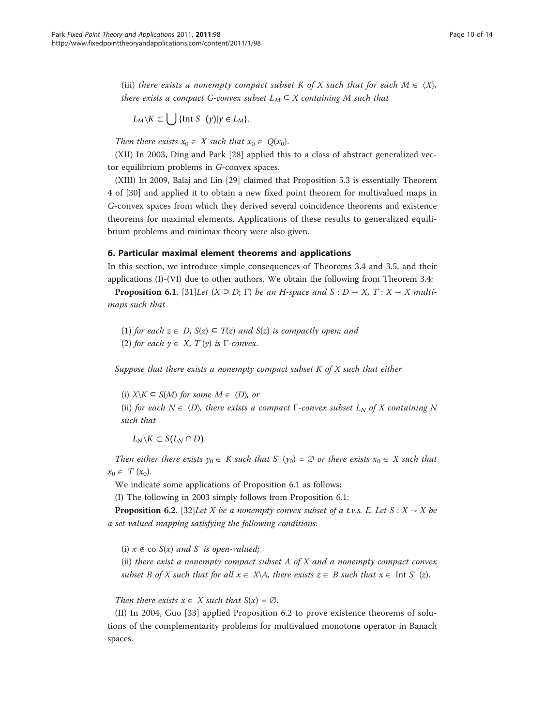(iii) there exists a nonempty compact subset K of X such that for each  $M \in \langle X \rangle$ , there exists a compact G-convex subset  $L_M \subset X$  containing M such that

$$
L_M \backslash K \subset \bigcup \{ \text{Int } S^-(\gamma) | \gamma \in L_M \}.
$$

Then there exists  $x_0 \in X$  such that  $x_0 \in Q(x_0)$ .

(XII) In 2003, Ding and Park [\[28](#page-12-0)] applied this to a class of abstract generalized vector equilibrium problems in G-convex spaces.

(XIII) In 2009, Balaj and Lin [[29\]](#page-12-0) claimed that Proposition 5.3 is essentially Theorem 4 of [[30\]](#page-12-0) and applied it to obtain a new fixed point theorem for multivalued maps in G-convex spaces from which they derived several coincidence theorems and existence theorems for maximal elements. Applications of these results to generalized equilibrium problems and minimax theory were also given.

#### 6. Particular maximal element theorems and applications

In this section, we introduce simple consequences of Theorems 3.4 and 3.5, and their applications (I)-(VI) due to other authors. We obtain the following from Theorem 3.4:

**Proposition 6.1.** [[31\]](#page-12-0)Let  $(X \supseteq D; \Gamma)$  be an H-space and  $S : D \rightarrow X, T : X \rightarrow X$  multimaps such that

(1) for each  $z \in D$ ,  $S(z) \subseteq T(z)$  and  $S(z)$  is compactly open; and (2) for each  $y \in X$ ,  $T(y)$  is  $\Gamma$ -convex.

Suppose that there exists a nonempty compact subset  $K$  of  $X$  such that either

(i)  $X\setminus K\subseteq S(M)$  for some  $M\in \langle D \rangle$ , or

(ii) for each  $N \in \langle D \rangle$ , there exists a compact Γ-convex subset  $L_N$  of X containing N such that

 $L_N$ \*K* ⊂ *S*( $L_N$  ∩ *D*).

Then either there exists  $y_0 \in K$  such that  $S'(y_0) = \emptyset$  or there exists  $x_0 \in X$  such that  $x_0 \in T (x_0).$ 

We indicate some applications of Proposition 6.1 as follows:

(I) The following in 2003 simply follows from Proposition 6.1:

**Proposition 6.2.** [[32](#page-12-0)]Let X be a nonempty convex subset of a t.v.s. E. Let  $S : X \to X$  be a set-valued mapping satisfying the following conditions:

(i)  $x \notin \text{co } S(x)$  and  $S^-$  is open-valued;

(ii) there exist a nonempty compact subset  $A$  of  $X$  and a nonempty compact convex subset B of X such that for all  $x \in X\backslash A$ , there exists  $z \in B$  such that  $x \in \text{Int } S'(z)$ .

Then there exists  $x \in X$  such that  $S(x) = \emptyset$ .

(II) In 2004, Guo [[33\]](#page-12-0) applied Proposition 6.2 to prove existence theorems of solutions of the complementarity problems for multivalued monotone operator in Banach spaces.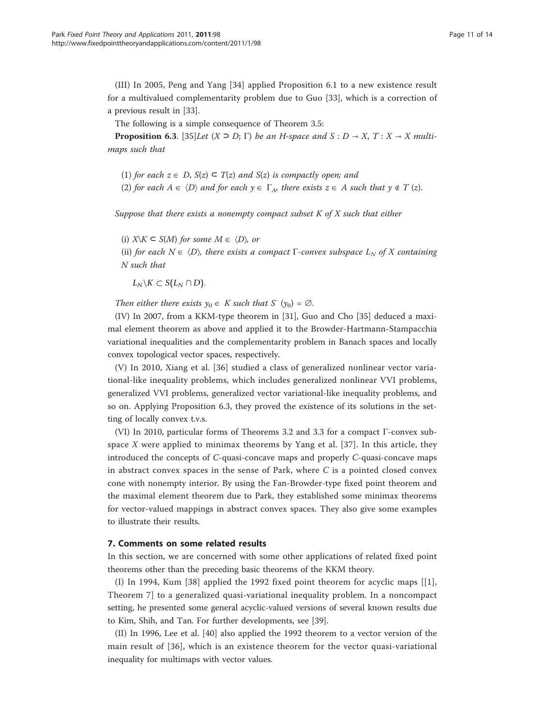(III) In 2005, Peng and Yang [\[34](#page-12-0)] applied Proposition 6.1 to a new existence result for a multivalued complementarity problem due to Guo [[33\]](#page-12-0), which is a correction of a previous result in [\[33](#page-12-0)].

The following is a simple consequence of Theorem 3.5:

**Proposition 6.3.** [[35\]](#page-12-0)Let  $(X \supseteq D; \Gamma)$  be an H-space and  $S : D \rightarrow X, T : X \rightarrow X$  multimaps such that

(1) for each  $z \in D$ ,  $S(z) \subseteq T(z)$  and  $S(z)$  is compactly open; and

(2) for each  $A \in \langle D \rangle$  and for each  $y \in \Gamma_A$ , there exists  $z \in A$  such that  $y \notin T (z)$ .

Suppose that there exists a nonempty compact subset  $K$  of  $X$  such that either

(i)  $X\setminus K\subseteq S(M)$  for some  $M\in \langle D \rangle$ , or

(ii) for each  $N \in \langle D \rangle$ , there exists a compact Γ-convex subspace  $L_N$  of X containing N such that

 $L_N$ \*K* ⊂ *S*( $L_N$  ∩ *D*).

Then either there exists  $y_0 \in K$  such that  $S(y_0) = \emptyset$ .

(IV) In 2007, from a KKM-type theorem in [\[31](#page-12-0)], Guo and Cho [[35\]](#page-12-0) deduced a maximal element theorem as above and applied it to the Browder-Hartmann-Stampacchia variational inequalities and the complementarity problem in Banach spaces and locally convex topological vector spaces, respectively.

(V) In 2010, Xiang et al. [\[36](#page-12-0)] studied a class of generalized nonlinear vector variational-like inequality problems, which includes generalized nonlinear VVI problems, generalized VVI problems, generalized vector variational-like inequality problems, and so on. Applying Proposition 6.3, they proved the existence of its solutions in the setting of locally convex t.v.s.

(VI) In 2010, particular forms of Theorems 3.2 and 3.3 for a compact Γ-convex sub-space X were applied to minimax theorems by Yang et al. [[37](#page-12-0)]. In this article, they introduced the concepts of C-quasi-concave maps and properly C-quasi-concave maps in abstract convex spaces in the sense of Park, where  $C$  is a pointed closed convex cone with nonempty interior. By using the Fan-Browder-type fixed point theorem and the maximal element theorem due to Park, they established some minimax theorems for vector-valued mappings in abstract convex spaces. They also give some examples to illustrate their results.

#### 7. Comments on some related results

In this section, we are concerned with some other applications of related fixed point theorems other than the preceding basic theorems of the KKM theory.

(I) In 1994, Kum [\[38\]](#page-12-0) applied the 1992 fixed point theorem for acyclic maps [[[1](#page-12-0)], Theorem 7] to a generalized quasi-variational inequality problem. In a noncompact setting, he presented some general acyclic-valued versions of several known results due to Kim, Shih, and Tan. For further developments, see [\[39\]](#page-13-0).

(II) In 1996, Lee et al. [[40](#page-13-0)] also applied the 1992 theorem to a vector version of the main result of [[36\]](#page-12-0), which is an existence theorem for the vector quasi-variational inequality for multimaps with vector values.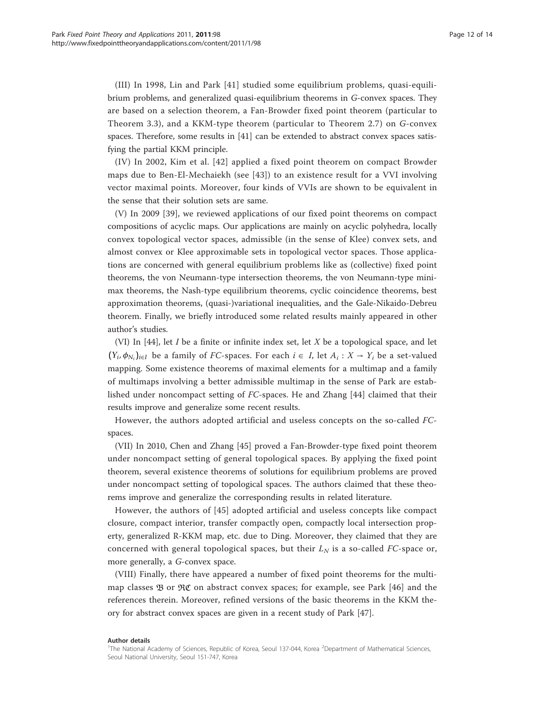(III) In 1998, Lin and Park [[41](#page-13-0)] studied some equilibrium problems, quasi-equilibrium problems, and generalized quasi-equilibrium theorems in G-convex spaces. They are based on a selection theorem, a Fan-Browder fixed point theorem (particular to Theorem 3.3), and a KKM-type theorem (particular to Theorem 2.7) on G-convex spaces. Therefore, some results in [[41\]](#page-13-0) can be extended to abstract convex spaces satisfying the partial KKM principle.

(IV) In 2002, Kim et al. [[42](#page-13-0)] applied a fixed point theorem on compact Browder maps due to Ben-El-Mechaiekh (see [[43](#page-13-0)]) to an existence result for a VVI involving vector maximal points. Moreover, four kinds of VVIs are shown to be equivalent in the sense that their solution sets are same.

(V) In 2009 [\[39](#page-13-0)], we reviewed applications of our fixed point theorems on compact compositions of acyclic maps. Our applications are mainly on acyclic polyhedra, locally convex topological vector spaces, admissible (in the sense of Klee) convex sets, and almost convex or Klee approximable sets in topological vector spaces. Those applications are concerned with general equilibrium problems like as (collective) fixed point theorems, the von Neumann-type intersection theorems, the von Neumann-type minimax theorems, the Nash-type equilibrium theorems, cyclic coincidence theorems, best approximation theorems, (quasi-)variational inequalities, and the Gale-Nikaido-Debreu theorem. Finally, we briefly introduced some related results mainly appeared in other author's studies.

(VI) In  $[44]$  $[44]$ , let *I* be a finite or infinite index set, let *X* be a topological space, and let  $(Y_i, \phi_{N_i})_{i \in I}$  be a family of FC-spaces. For each  $i \in I$ , let  $A_i : X \to Y_i$  be a set-valued mapping. Some existence theorems of maximal elements for a multimap and a family of multimaps involving a better admissible multimap in the sense of Park are established under noncompact setting of FC-spaces. He and Zhang [[44\]](#page-13-0) claimed that their results improve and generalize some recent results.

However, the authors adopted artificial and useless concepts on the so-called FCspaces.

(VII) In 2010, Chen and Zhang [[45\]](#page-13-0) proved a Fan-Browder-type fixed point theorem under noncompact setting of general topological spaces. By applying the fixed point theorem, several existence theorems of solutions for equilibrium problems are proved under noncompact setting of topological spaces. The authors claimed that these theorems improve and generalize the corresponding results in related literature.

However, the authors of [[45](#page-13-0)] adopted artificial and useless concepts like compact closure, compact interior, transfer compactly open, compactly local intersection property, generalized R-KKM map, etc. due to Ding. Moreover, they claimed that they are concerned with general topological spaces, but their  $L<sub>N</sub>$  is a so-called FC-space or, more generally, a G-convex space.

(VIII) Finally, there have appeared a number of fixed point theorems for the multimap classes  $\mathfrak B$  or  $\mathfrak {RC}$  on abstract convex spaces; for example, see Park [\[46\]](#page-13-0) and the references therein. Moreover, refined versions of the basic theorems in the KKM theory for abstract convex spaces are given in a recent study of Park [[47](#page-13-0)].

#### Author details

<sup>&</sup>lt;sup>1</sup>The National Academy of Sciences, Republic of Korea, Seoul 137-044, Korea <sup>2</sup>Department of Mathematical Sciences Seoul National University, Seoul 151-747, Korea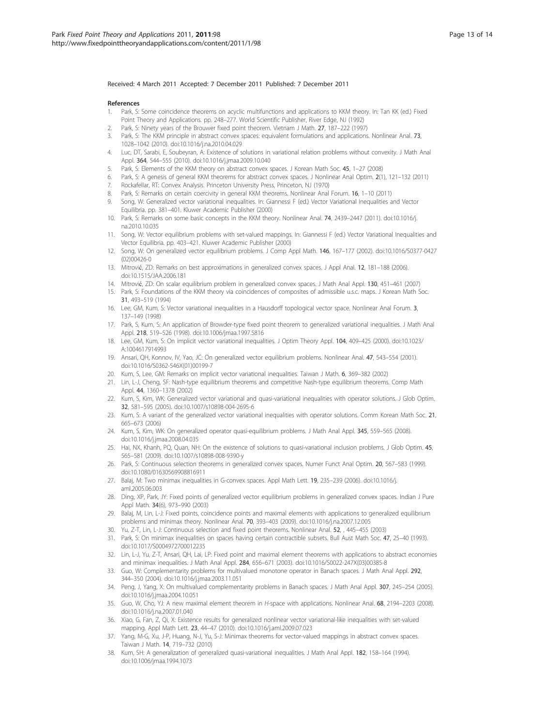#### <span id="page-12-0"></span>Received: 4 March 2011 Accepted: 7 December 2011 Published: 7 December 2011

#### References

- 1. Park, S: Some coincidence theorems on acyclic multifunctions and applications to KKM theory. In: Tan KK (ed.) Fixed Point Theory and Applications. pp. 248–277. World Scientific Publisher, River Edge, NJ (1992)
- Park, S: Ninety years of the Brouwer fixed point theorem. Vietnam J Math. 27, 187-222 (1997)
- 3. Park, S: The KKM principle in abstract convex spaces: equivalent formulations and applications. Nonlinear Anal. 73, 1028–1042 (2010). doi:10.1016/j.na.2010.04.029
- 4. Luc, DT, Sarabi, E, Soubeyran, A: Existence of solutions in variational relation problems without convexity. J Math Anal Appl. 364, 544–555 (2010). doi:10.1016/j.jmaa.2009.10.040
- Park, S: Elements of the KKM theory on abstract convex spaces. J Korean Math Soc. 45, 1-27 (2008)
- 6. Park, S: A genesis of general KKM theorems for abstract convex spaces. J Nonlinear Anal Optim. 2(1), 121–132 (2011)
- 7. Rockafellar, RT: Convex Analysis. Princeton University Press, Princeton, NJ (1970)
- 8. Park, S: Remarks on certain coercivity in general KKM theorems. Nonlinear Anal Forum. 16, 1-10 (2011)
- 9. Song, W: Generalized vector variational inequalities. In: Giannessi F (ed.) Vector Variational Inequalities and Vector Equilibria. pp. 381–401. Kluwer Academic Publisher (2000)
- 10. Park, S: Remarks on some basic concepts in the KKM theory. Nonlinear Anal. 74, 2439–2447 (2011). doi:10.1016/j. na.2010.10.035
- 11. Song, W: Vector equilibrium problems with set-valued mappings. In: Giannessi F (ed.) Vector Variational Inequalities and Vector Equilibria. pp. 403–421. Kluwer Academic Publisher (2000)
- 12. Song, W: On generalized vector equilibrium problems. J Comp Appl Math. 146, 167–177 (2002). doi:10.1016/S0377-0427 (02)00426-0
- 13. Mitrović, ZD: Remarks on best approximations in generalized convex spaces. J Appl Anal. 12, 181–188 (2006). doi:10.1515/JAA.2006.181
- 14. Mitrović, ZD: On scalar equilibrium problem in generalized convex spaces. J Math Anal Appl. 130, 451–461 (2007)
- 15. Park, S: Foundations of the KKM theory via coincidences of composites of admissible u.s.c. maps. J Korean Math Soc. 31, 493–519 (1994)
- 16. Lee, GM, Kum, S: Vector variational inequalities in a Hausdorff topological vector space. Nonlinear Anal Forum. 3, 137–149 (1998)
- 17. Park, S, Kum, S: An application of Browder-type fixed point theorem to generalized variational inequalities. J Math Anal Appl. 218, 519–526 (1998). doi:10.1006/jmaa.1997.5816
- 18. Lee, GM, Kum, S: On implicit vector variational inequalities. J Optim Theory Appl. 104, 409–425 (2000). doi:10.1023/ A:1004617914993
- 19. Ansari, QH, Konnov, IV, Yao, JC: On generalized vector equilibrium problems. Nonlinear Anal. 47, 543–554 (2001). doi:10.1016/S0362-546X(01)00199-7
- 20. Kum, S, Lee, GM: Remarks on implicit vector variational inequalities. Taiwan J Math. 6, 369–382 (2002)
- 21. Lin, L-J, Cheng, SF: Nash-type equilibrium theorems and competitive Nash-type equilibrium theorems. Comp Math Appl. 44, 1360–1378 (2002)
- 22. Kum, S, Kim, WK: Generalized vector variational and quasi-variational inequalities with operator solutions. J Glob Optim. 32, 581–595 (2005). doi:10.1007/s10898-004-2695-6
- 23. Kum, S: A variant of the generalized vector variational inequalities with operator solutions. Comm Korean Math Soc. 21, 665–673 (2006)
- 24. Kum, S, Kim, WK: On generalized operator quasi-equilibrium problems. J Math Anal Appl. 345, 559–565 (2008). doi:10.1016/j.jmaa.2008.04.035
- 25. Hai, NX, Khanh, PQ, Quan, NH: On the existence of solutions to quasi-variational inclusion problems. J Glob Optim. 45, 565–581 (2009). doi:10.1007/s10898-008-9390-y
- 26. Park, S: Continuous selection theorems in generalized convex spaces. Numer Funct Anal Optim. 20, 567–583 (1999). doi:10.1080/01630569908816911
- 27. Balaj, M: Two minimax inequalities in G-convex spaces. Appl Math Lett. 19, 235–239 (2006). doi:10.1016/j. aml.2005.06.003
- 28. Ding, XP, Park, JY: Fixed points of generalized vector equilibrium problems in generalized convex spaces. Indian J Pure Appl Math. 34(6), 973–990 (2003)
- 29. Balaj, M, Lin, L-J: Fixed points, coincidence points and maximal elements with applications to generalized equilibrium problems and minimax theory. Nonlinear Anal. 70, 393–403 (2009). doi:10.1016/j.na.2007.12.005
- 30. Yu, Z-T, Lin, L-J: Continuous selection and fixed point theorems. Nonlinear Anal. 52, , 445–455 (2003)
- 31. Park, S: On minimax inequalities on spaces having certain contractible subsets. Bull Aust Math Soc. 47, 25–40 (1993). doi:10.1017/S0004972700012235
- 32. Lin, L-J, Yu, Z-T, Ansari, QH, Lai, LP: Fixed point and maximal element theorems with applications to abstract economies and minimax inequalities. J Math Anal Appl. 284, 656–671 (2003). doi:10.1016/S0022-247X(03)00385-8
- 33. Guo, W: Complementarity problems for multivalued monotone operator in Banach spaces. J Math Anal Appl. 292, 344–350 (2004). doi:10.1016/j.jmaa.2003.11.051
- 34. Peng, J, Yang, X: On multivalued complementarity problems in Banach spaces. J Math Anal Appl. 307, 245–254 (2005). doi:10.1016/j.jmaa.2004.10.051
- 35. Guo, W, Cho, YJ: A new maximal element theorem in H-space with applications. Nonlinear Anal. 68, 2194–2203 (2008). doi:10.1016/j.na.2007.01.040
- 36. Xiao, G, Fan, Z, Qi, X: Existence results for generalized nonlinear vector variational-like inequalities with set-valued mapping. Appl Math Lett. 23, 44–47 (2010). doi:10.1016/j.aml.2009.07.023
- 37. Yang, M-G, Xu, J-P, Huang, N-J, Yu, S-J: Minimax theorems for vector-valued mappings in abstract convex spaces. Taiwan J Math. 14, 719–732 (2010)
- 38. Kum, SH: A generalization of generalized quasi-variational inequalities. J Math Anal Appl. 182, 158–164 (1994). doi:10.1006/jmaa.1994.1073